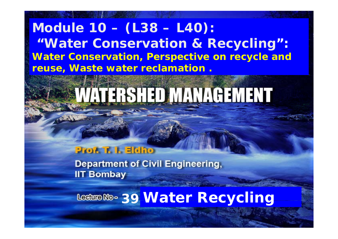### **Module 10 – (L38 – L40): " i li Water Conservation & Recycling ": Water Conservation, Perspective on recycle and reuse, W t t l ti Was e wa ter reclamation .**

# VATERSHED MANAGEMENT

#### **Prof. T. I. Eldho**

**Department of Civil Engineering, IIT Bombay** 

**39 Water Recycling**

11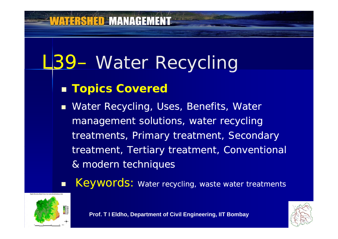# L39- Water Recycling

### **Topics Covered**

**Nater Recycling, Uses, Benefits, Water 19.** management solutions, water recycling treatments, Primary treatment, Secondary treatment, Tertiary treatment, Conventional & modern techniques

 $\blacksquare$ Keywords: Water recycling, waste water treatments



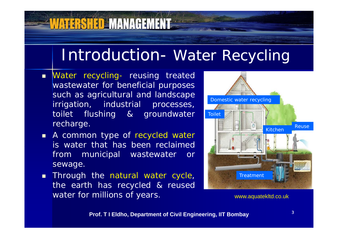### Introduction- Water Recycling

 Water recycling- reusing treated wastewater for beneficial purposes such as agricultural and landscape irrigation, industrial processes, toilet flushing & groundwater recharge.

WATERSHED MANAGEMENT

- **A common type of recycled water** is water that has been reclaimed from municipal wastewater or sewage.
- **Through the natural water cycle,** the earth has recycled & reused water for millions of years. We arrive the www.aquatekltd.co.uk

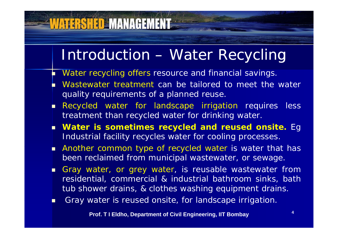### Introduction – Water Recycling

Г Water recycling offers resource and financial savings.

- Г Wastewater treatment can be tailored to meet the water quality requirements of a planned reuse.
- П Recycled water for landscape irrigation requires less treatment than recycled water for drinking water.
- **Water is sometimes recycled and reused onsite.** Eg Industrial facility recycles water for cooling processes.
- **Another common type of recycled water is water that has** been reclaimed from municipal wastewater, or sewage.
- n ' Gray water, or grey water, is reusable wastewater from residential, commercial & industrial bathroom sinks, bath tub shower drains, & clothes washing equipment drains.
- Γ **Sackter is reused onsite, for landscape irrigation.**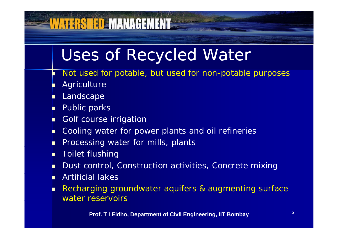# Uses of Recycled Water

- Г Not used for potable, but used for non-potable purposes
- Г Agriculture
- П Landscape
- п Public parks
- п Golf course irrigation
- П Cooling water for power plants and oil refineries
- П **Processing water for mills, plants Interpolle Formate**

- $\blacksquare$ Toilet flushing
- $\blacksquare$ Dust control, Construction activities, Concrete mixing
- $\blacksquare$ Artificial lakes
- п Recharging groundwater aquifers & augmenting surface water reservoirs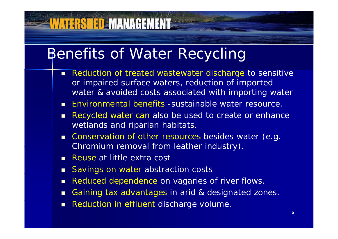### Benefits of Water Recycling

- Г Reduction of treated wastewater discharge to sensitive or impaired surface waters, reduction of imported water & avoided costs associated with importing water
- **DOM:** Environmental benefits -sustainable water resource.
- $\blacksquare$  Recycled water can also be used to create or enhance wetlands and riparian habitats.
- $\blacksquare$  Conservation of other resources besides water (e.g. Chromium removal from leather industry).
- **Reuse at little extra cost**

- Savings on water abstraction costs
- $\blacksquare$ Reduced dependence on vagaries of river flows.
- п Gaining tax advantages in arid & designated zones.
- Г Reduction in effluent discharge volume.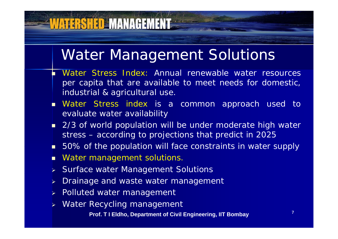### Water Management Solutions

- Г Water Stress Index: Annual renewable water resources per capita that are available to meet needs for domestic, industrial & agricultural use.
- П Water Stress index is a common approach used to evaluate water availability
- 2/3 of world population will be under moderate high water stress – according to projections that predict in 2025
- п ■ 50% of the population will face constraints in water supply
- $\blacksquare$ Water management solutions.

**WATERSHED MANAGEMENT** 

- Surface water Mana gement Solutions
- $\blacktriangleright$ Drainage and waste water management
- > Polluted water management
- $\blacktriangleright$ Water Recycling management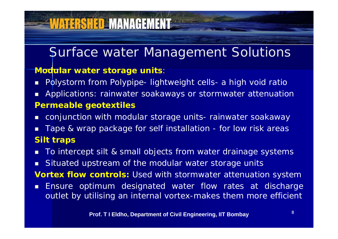### Surface water Management Solutions

#### **Modular water storage units**:

**VATERSHED MANAGEMENT** 

- $\blacksquare$ Polystorm from Polypipe- lightweight cells- a high void ratio
- п Applications: rainwater soakaways or stormwater attenuation **Permeable geotextiles**
- П conjunction with modular storage units - rainwater soakaway
- $\blacksquare$  Tape & wrap package for self installation - for low risk areas **Silt traps**
- Π ■ To intercept silt & small objects from water drainage systems
- п Situated upstream of the modular water storage units

**Vortex flow controls:** Used with stormwater attenuation system

 $\blacksquare$  Ensure optimum designated water flow rates at discharge outlet by utilising an internal vortex-makes them more efficient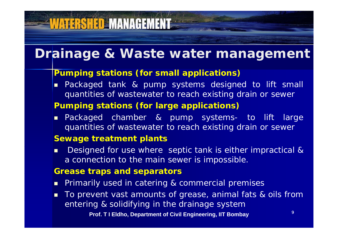### **Drainage & Waste water management**

#### **Pumping stations (for small applications)**

 $\blacksquare$  Packaged tank & pump systems designed to lift small quantities of wastewater to reach existing drain or sewer

#### **Pumping stations (for large applications)**

Г ■ Packaged chamber & pump systems- to lift large quantities of wastewater to reach existing drain or sewer

#### **Sewage treatment plants**

 $\blacksquare$ ■ Designed for use where septic tank is either impractical & <sup>a</sup> connection to the main sewer is impossible.

#### **Grease traps and separators**

- **Primarily used in catering & commercial premises**
- п To prevent vast amounts of grease, animal fats & oils from entering & solidifying in the drainage system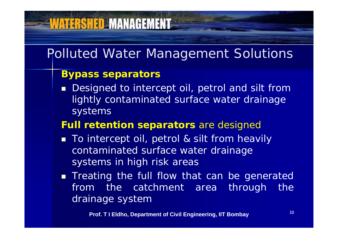### Polluted Water Management Solutions

#### **Bypass separators**

**VATERSHED MANAGEMENT** 

■ Designed to intercept oil, petrol and silt from lightly contaminated surface water drainage systems

#### **Full retention separators** are designed

- To intercept oil, petrol & silt from heavily contaminated surface water drainage systems in high risk areas
- **Theating the full flow that can be generated** from the catchment area through the drainage system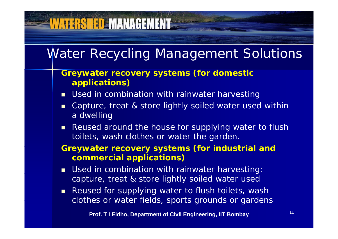### Water Recycling Management Solutions

#### **Greywater recovery systems (for domestic applications)**

**VATERSHED MANAGEMENT** 

- Г ■ Used in combination with rainwater harvesting
- $\blacksquare$  Capture, treat & store lightly soiled water used within a dwellin g
- Г Reused around the house for supplying water to flush toilets, wash clothes or water the garden.

#### **Greywater recovery systems (for industrial and commercial applications)**

- Used in combination with rainwater harvesting: capture, treat & store lightly soiled water used
- $\blacksquare$  . Reused for supplying water to flush toilets, wash clothes or water fields, sports grounds or gardens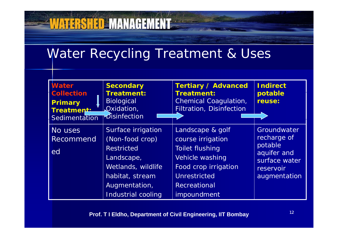### Water Recycling Treatment & Uses

**WATERSHED MANAGEMENT** 

| <b>Water</b><br><b>Collection</b><br><b>Primary</b><br>Treatment:<br>Sedimentation | <b>Secondary</b><br><b>Treatment:</b><br><b>Biological</b><br>Oxidation,<br>Disinfection                                                                 | <b>Tertiary / Advanced</b><br><b>Treatment:</b><br><b>Chemical Coagulation,</b><br><b>Filtration, Disinfection</b>                                               | <b>Indirect</b><br>potable<br>reuse:                                                                      |
|------------------------------------------------------------------------------------|----------------------------------------------------------------------------------------------------------------------------------------------------------|------------------------------------------------------------------------------------------------------------------------------------------------------------------|-----------------------------------------------------------------------------------------------------------|
| No uses<br><b>Recommend</b><br>ed                                                  | Surface irrigation<br>(Non-food crop)<br><b>Restricted</b><br>Landscape,<br>Wetlands, wildlife<br>habitat, stream<br>Augmentation,<br>Industrial cooling | Landscape & golf<br>course irrigation<br><b>Toilet flushing</b><br>Vehicle washing<br>Food crop irrigation<br>Unrestricted<br><b>Recreational</b><br>impoundment | <b>Groundwater</b><br>recharge of<br>potable<br>aquifer and<br>surface water<br>reservoir<br>augmentation |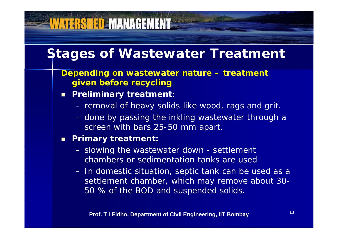### **Stages of Wastewater Treatment**

- **Depending on wastewater nature – treatment given before recycling**
- $\blacksquare$  **P li i t t t Preli minary trea tmen** :

VATERSHED MANAGEMENT

- removal of heavy solids like wood, rags and grit.
- done by passing the inkling wastewater through a screen with bars 25-50 mm apart.

#### $\blacksquare$ **Primary treatment:**

- slowing the wastewater down settlement chambers or sedimentation tanks are used
- In domestic situation, septic tank can be used as a settlement chamber, which may remove about 30- 50 % of the BOD and suspended solids.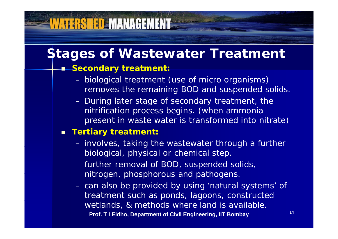### **Stages of Wastewater Treatment**

#### **S d econ dary treatment:**

- biological treatment (use of micro organisms) removes the remaining BOD and suspended solids.
- During later stage of secondary treatment, the nitrification process begins. (when ammonia present in waste water is transformed into nitrate)

#### *Tertiary treatment:*

- involves, taking the wastewater through a further biological, physical or chemical step.
- further removal of BOD, suspended solids, nitrogen, phosphorous and pathogens.
- can also be provided by using 'natural systems' of treatment such as ponds, lagoons, constructed wetlands, & methods where land is available. **Prof. T I Eldho, Department of Civil Engineering, IIT Bombay**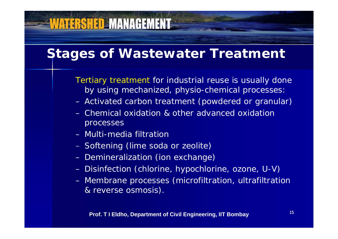### **Stages of Wastewater Treatment**

Tertiary treatment for industrial reuse is usually done by using mechanized, physio -chemical processes:

- Activated carbon treatment (powdered or granular)
- Chemical oxidation & other advanced oxidation processes
- Multi-media filtration Softening (lime soda or zeolite)

- Demineralization (ion exchange)
- Disinfection (chlorine, hypochlorine, ozone, U-V)
- Membrane processes (microfiltration, ultrafiltration & reverse osmosis).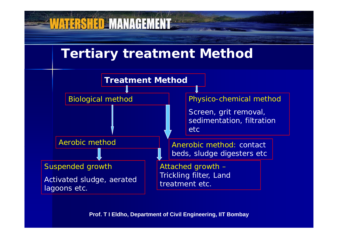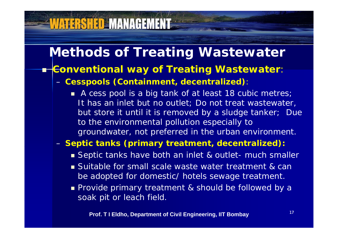Т,

### **Methods of Treating Wastewater**

#### **Conventional way of Treating Wastewater**:

*Cesspools (Containment, decentralized):*

■ A cess pool is a big tank of at least 18 cubic metres; It has an inlet but no outlet; Do not treat wastewater, but store it until it is removed by a sludge tanker; Due to the environmental pollution especially to groundwater, not preferred in the urban environment.

#### – *Se p (p y , ) tic tanks (primar y treatment, decentralized ):*

- Septic tanks have both an inlet & outlet- much smaller
- **Suitable for small scale waste water treatment & can** be adopted for domestic/ hotels sewage treatment.
- **Provide primary treatment & should be followed by a** soak pit or leach field.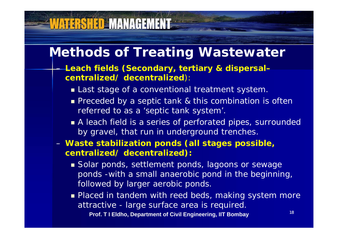### **Methods of Treating Wastewater**

**VATERSHED MANAGEMENT** 

 *L h fi ld (S d i & di l Leach eld s (Secon dary, tertiary dispersal– centralized/ decentralized):*

- Last stage of a conventional treatment system.
- **Preceded by a septic tank & this combination is often** referred to as a 'septic tank system'.
- A leach field is a series of perforated pipes, surrounded by gravel, that run in underground trenches.
- *Waste stabilization p ( gp , onds (all sta ges possible, centralized/ decentralized):* 
	- **Solar ponds, settlement ponds, lagoons or sewage** ponds -with a small anaerobic pond in the beginning, followed by larger aerobic ponds.
	- **Placed in tandem with reed beds, making system more** attractive - large surface area is required.

**Prof. T I Eldho, Department of Civil Engineering, IIT Bombay**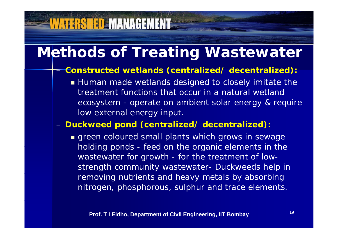### **Methods of Treating Wastewater**

**WATERSHED MANAGEMENT** 

#### *Constructed wetlands (centralized/ decentralized):*

 Human made wetlands designed to closely imitate the treatment functions that occur in a natural wetland ecosystem - operate on ambient solar energy & require low external energy input.

#### *Duckweed pond (centralized/ decentralized):*

**green coloured small plants which grows in sewage** holding ponds - feed on the organic elements in the wastewater for growth - for the treatment of lowstrength community wastewater- Duckweeds help in removing nutrients and heavy metals by absorbing nitrogen, phosphorous, sulphur and trace elements.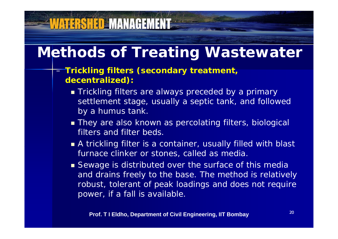### **Methods of Treating Wastewater**

#### *Trickling filters (secondary treatment, decentralized):*

- **Trickling filters are always preceded by a primary** settlement stage, usually a septic tank, and followed by a humus tank.
- They are also known as percolating filters, biological filters and filter beds.
- A trickling filter is a container, usually filled with blast furnace clinker or stones, called as media.
- **Sewage is distributed over the surface of this media** and drains freely to the base. The method is relatively robust, tolerant of peak loadings and does not require power, if a fall is available.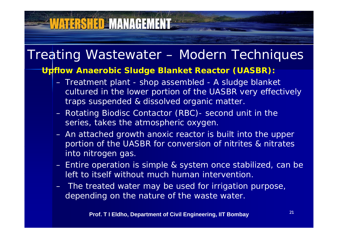### Treating Wastewater – Modern Techniques

#### *Upflow Anaerobic Sludge Blanket Reactor (UASBR)***:**

- Treatment plant shop assembled A sludge blanket cultured in the lower portion of the UASBR very effectively traps suspended & dissolved organic matter.
- Rotating Biodisc Contactor (RBC)- second unit in the series, takes the atmospheric oxygen.
- An attached growth anoxic reactor is built into the upper portion of the UASBR for conversion of nitrites & nitrates into nitrogen gas.
- Entire operation is simple & system once stabilized, can be left to itself without much human intervention.
- The treated water may be used for irrigation purpose, depending on the nature of the waste water.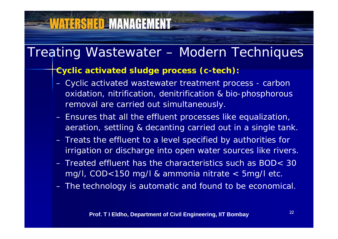### Treating Wastewater – Modern Techniques

#### *Cyclic activated sludge process (c-tech):*

- Cyclic activated wastewater treatment process carbon oxidation, nitrification, denitrification & bio-phosphorous removal are carried out simultaneously.
- Ensures that all the effluent processes like equalization, aeration, settling & decanting carried out in a single tank.
- Treats the effluent to a level specified by authorities for irrigation or discharge into open water sources like rivers.
- Treated effluent has the characteristics such as BOD< 30 mg/l,  $COD<150$  mg/l & ammonia nitrate  $<$  5mg/l etc.
- The technology is automatic and found to be economical.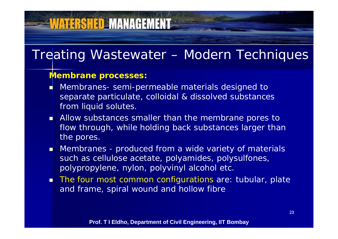### Treating Wastewater – Modern Techniques

#### *Membrane processes:*

- Г Membranes- semi-permeable materials designed to separate particulate, colloidal & dissolved substances from liquid solutes.
- **Allow substances smaller than the membrane pores to** flow through, while holding back substances larger than the pores.
- . ■ Membranes - produced from a wide variety of materials such as cellulose acetate, polyamides, polysulfones, polypropylene, nylon, polyvinyl alcohol etc.
- **The four most common configurations are: tubular, plate** and frame, spiral wound and hollow fibre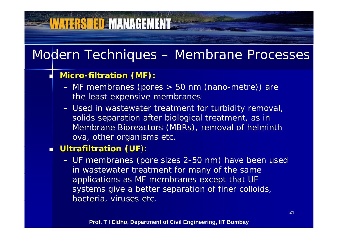# Modern Techniques – Membrane Processes

#### *Micro-filtration (MF):*

**VATERSHED MANAGEMENT** 

Г

- MF membranes (pores > 50 nm (nano-metre)) are the least expensive membranes
- Used in wastewater treatment for turbidity removal, solids separation after biological treatment, as in Membrane Bioreactors (MBRs), removal of helminth ova, other organisms etc.

#### $\blacksquare$  Ultrafiltration (UF):

 UF membranes (pore sizes 2-50 nm) have been used in wastewater treatment for man y of the same applications as MF membranes except that UF systems give a better separation of finer colloids, bacteria, viruses etc.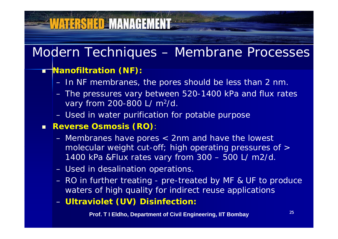### Modern Techniques – Membrane Processes

#### **Nanofiltration (NF):**

- In NF membranes, the pores should be less than 2 nm.
- The pressures vary between 520 -1400 kPa and flux rates vary from 200-800 L/ m 2/d.
- Used in water purification for potable purpose

#### **Reverse Osmosis (RO)**:

- Membranes have pores < 2nm and have the lowest molecular weight cut -off; high operating pressures of > 1400 kPa &Flux rates vary from 300 – 500 L/ m2/d.
- Used in desalination operations.
- RO in further treating pre-treated by MF & UF to produce waters of high quality for indirect reuse applications
- *Ultraviolet (UV) Disinfection***:** –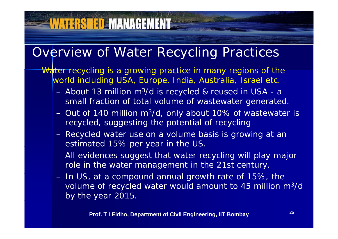### Overview of Water Recycling Practices

**VATERSHED MANAGEMENT** 

Water recycling is a growing practice in many regions of the world including USA, Europe, India, Australia, Israel etc.

- $-$  About 13 million m $^3$ m<sup>3</sup>/d is recycled & reused in USA - a small fraction of total volume of wastewater generated.
- Out of 140 million m 3/d, only about 10% of wastewater is recycled, suggesting the potential of recycling
- Recycled water use on a volume basis is growing at an estimated 15% per year in the US.
- All evidences suggest that water recycling will play major role in the water management in the 21st century.
- In US, at a compound annual growth rate of 15%, the volume of recycled water would amount to 45 million m 3/d by the year 2015.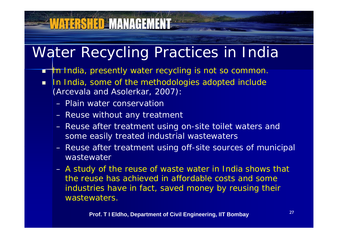### Water Recycling Practices in India

- **In India, presently water recycling is not so common.**
- $\blacksquare$ In India, some of the methodologies adopted include (Arcevala and Asolerkar, 2007):
	- Plain water conservation

- Reuse without any treatment
- Reuse after treatment using on-site toilet waters and some easily treated industrial wastewaters
- Reuse after treatment using off-site sources of municipal wastewater
- A study of the reuse of waste water in India shows that the reuse has achieved in affordable costs and some industries have in fact, saved money by reusing their wastewaters.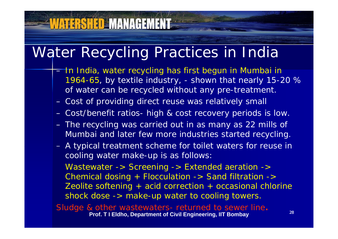### Water Recycling Practices in India

- $=$  In India, water recycling has first begun in Mumbai in  $\,$ 1964-65, by textile industry, - shown that nearly 15-20 % of water can be recycled without any pre -treatment.
- Cost of providing direct reuse was relatively small
- Cost/benefit ratios- high & cost recovery periods is low.
- The recycling was carried out in as many as 22 mills of Mumbai and later few more industries started recycling.
	- A typical treatment scheme for toilet waters for reuse in cooling water make-up is as follows:

*Wastewater -> Screening -> Extended aeration ->*  Chemical dosing + Flocculation -> Sand filtration -> *Zeolite softening + acid correction + occasional chlorine shock dose -> make-up water to cooling towers*.

Sludge & other wastewaters- returned to sewer line**. Prof. T I Eldho, Department of Civil Engineering, IIT Bombay**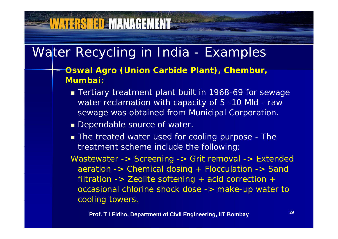### Water Recycling in India - Examples

- *Oswal Agro (Union Carbide Plant), Chembur, Mumbai:* 
	- Tertiary treatment plant built in 1968 -69 for sewage water reclamation with capacity of 5 -10 Mld - raw sewage was obtained from Municipal Corporation.
	- **Dependable source of water.**
	- **The treated water used for cooling purpose The** treatment scheme include the following:

*Wastewater -> Screening -> Grit removal -> Extended aeration -> Chemical dosing + Flocculation -> Sand filtration -> Zeolite softening + acid correction + occasional chlorine shock dose -> make-up water to cooling towers towers.*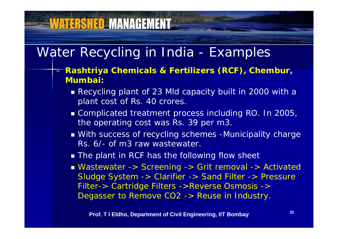### Water Recycling in India - Examples

- *Rashtriya Chemicals & Fertilizers (RCF), Chembur, Mumbai:*
	- Recycling plant of 23 Mld capacity built in 2000 with a plant cost of Rs. 40 crores.
	- Complicated treatment process including RO. In 2005, t he operating cost was Rs. 39 per m3.
	- With success of recycling schemes -Municipality charge Rs. 6/- of m3 raw wastewater.
	- **The plant in RCF has the following flow sheet**
	- *Wastewater -> Screening -> Grit removal -> Activated Sludge System -> Clarifier -> Sand Filter -> Pressure Filter-> Cartridge Filters ->Reverse Osmosis -> Degasser to Remove CO2 -> Reuse in Industry.*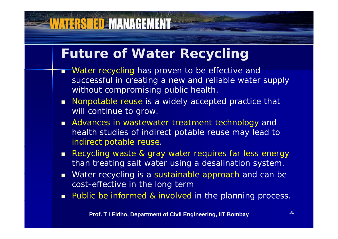### **Future of Water Recycling**

- Г Water recycling has proven to be effective and successful in creating a new and reliable water supply without compromising public health.
- **Nonpotable reuse is a widely accepted practice that** will continue to grow.
- **Advances in wastewater treatment technology and** health studies of indirect potable reuse may lead to indirect potable reuse.
- Recycling waste & gray water requires far less energy than treating salt water using a desalination system.
- $\blacksquare$  Water recycling is a sustainable approach and can be cost-effective in the long term
- **Public be informed & involved in the planning process.**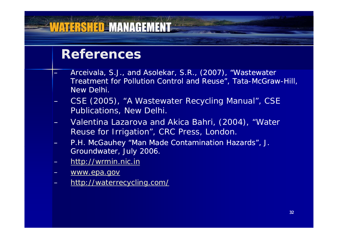### **References**

- Arceivala, S.J., and Asolekar, S.R., (2007), "Wastewater Treatment for Pollution Control and Reuse", Tata-McGraw-Hill, New Delhi.
- CSE (2005), "A Wastewater Recycling Manual", CSE Publications, New Delhi.
- Valentina Lazarova and Akica Bahri, (2004), "Water Reuse for Irrigation", CRC Press, London.
- P.H. McGauhey "Man Made Contamination Hazards", J. Groundwater, July 2006.
- http://wrmin.nic.in
- www.epa.gov
- http://waterrecycling.com/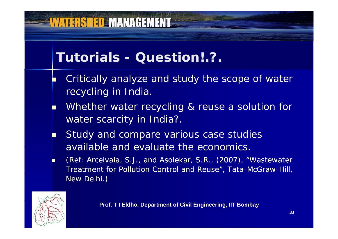### **Tutorials - Question!.?.**

- F. Critically analyze and study the scope of water recycling in India.
- п Whether water recycling & reuse a solution for water scarcity in India?.
- П Study and compare various case studies available and evaluate the economics.
- п (Ref: Arceivala, S.J., and Asolekar, S.R., (2007), "Wastewater Treatment for Pollution Control and Reuse", Tata-McGraw-Hill, New Delhi.)

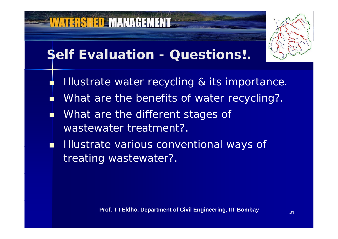

- a. What are the benefits of water recycling?.
- П **Nhat are the different stages of** wastewater treatment?.
- **Illustrate various conventional ways of** treating wastewater?.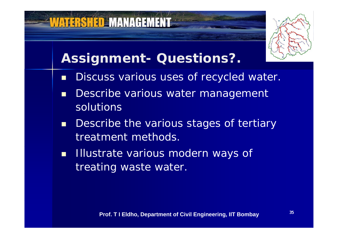### **Assignment- Questions?.**

- $\blacksquare$ Discuss various uses of recycled water.
- П Describe various water management solutions
- $\blacksquare$ Describe the various stages of tertiary treatment methods.
- $\blacksquare$  Illustrate various modern ways of treating waste water.